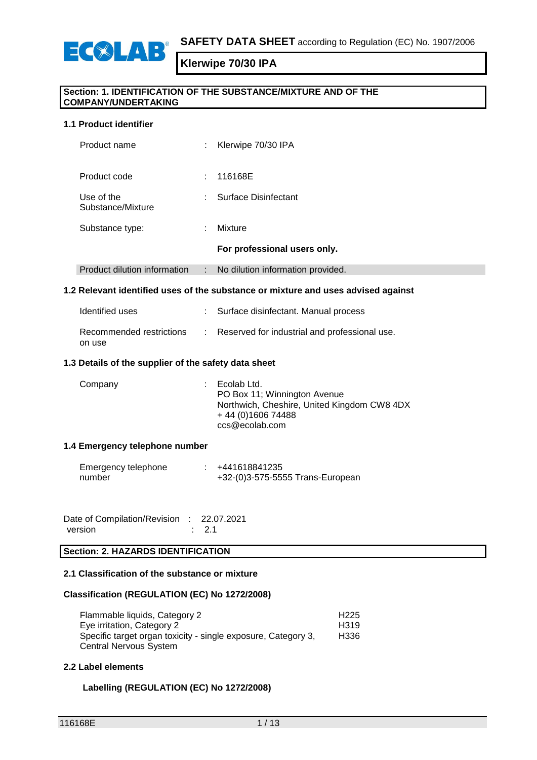

## **Section: 1. IDENTIFICATION OF THE SUBSTANCE/MIXTURE AND OF THE COMPANY/UNDERTAKING**

### **1.1 Product identifier**

| Product name                    | ÷. | Klerwipe 70/30 IPA                |
|---------------------------------|----|-----------------------------------|
| Product code                    | ÷. | 116168E                           |
| Use of the<br>Substance/Mixture | ÷  | Surface Disinfectant              |
| Substance type:                 | ÷  | Mixture                           |
|                                 |    | For professional users only.      |
| Product dilution information    | ÷. | No dilution information provided. |

### **1.2 Relevant identified uses of the substance or mixture and uses advised against**

| Identified uses                    | : Surface disinfectant. Manual process          |
|------------------------------------|-------------------------------------------------|
| Recommended restrictions<br>on use | : Reserved for industrial and professional use. |

### **1.3 Details of the supplier of the safety data sheet**

| Company | Ecolab Ltd.<br>PO Box 11; Winnington Avenue<br>Northwich, Cheshire, United Kingdom CW8 4DX<br>+44 (0) 1606 74488 |
|---------|------------------------------------------------------------------------------------------------------------------|
|         | ccs@ecolab.com                                                                                                   |

### **1.4 Emergency telephone number**

| Emergency telephone | +441618841235                    |
|---------------------|----------------------------------|
| number              | +32-(0)3-575-5555 Trans-European |

| Date of Compilation/Revision : 22.07.2021 |                  |
|-------------------------------------------|------------------|
| version                                   | $\therefore$ 2.1 |

### **Section: 2. HAZARDS IDENTIFICATION**

### **2.1 Classification of the substance or mixture**

### **Classification (REGULATION (EC) No 1272/2008)**

| Flammable liquids, Category 2                                 | H <sub>225</sub> |
|---------------------------------------------------------------|------------------|
| Eye irritation, Category 2                                    | H <sub>319</sub> |
| Specific target organ toxicity - single exposure, Category 3, | H336             |
| Central Nervous System                                        |                  |

### **2.2 Label elements**

### **Labelling (REGULATION (EC) No 1272/2008)**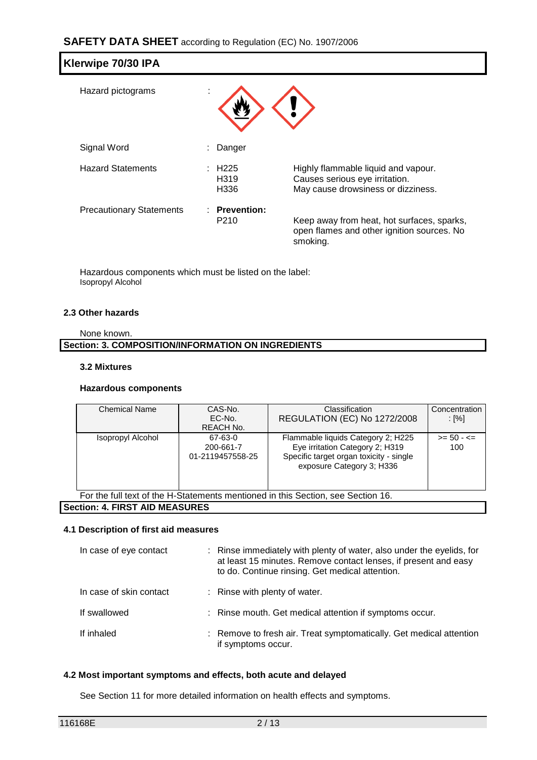| Hazard pictograms               |                                               |                                                                                                             |
|---------------------------------|-----------------------------------------------|-------------------------------------------------------------------------------------------------------------|
| Signal Word                     | Danger                                        |                                                                                                             |
| <b>Hazard Statements</b>        | $\therefore$ H225<br>H <sub>319</sub><br>H336 | Highly flammable liquid and vapour.<br>Causes serious eye irritation.<br>May cause drowsiness or dizziness. |
| <b>Precautionary Statements</b> | : Prevention:<br>P <sub>210</sub>             | Keep away from heat, hot surfaces, sparks,<br>open flames and other ignition sources. No<br>smoking.        |

Hazardous components which must be listed on the label: Isopropyl Alcohol

### **2.3 Other hazards**

# None known. **Section: 3. COMPOSITION/INFORMATION ON INGREDIENTS**

### **3.2 Mixtures**

### **Hazardous components**

| <b>Chemical Name</b>                                                             | CAS-No.          | Classification                          | Concentration    |  |  |  |
|----------------------------------------------------------------------------------|------------------|-----------------------------------------|------------------|--|--|--|
|                                                                                  | EC-No.           | REGULATION (EC) No 1272/2008            | : [%]            |  |  |  |
|                                                                                  | REACH No.        |                                         |                  |  |  |  |
| Isopropyl Alcohol                                                                | 67-63-0          | Flammable liquids Category 2; H225      | $>= 50 - 5 = 50$ |  |  |  |
|                                                                                  | 200-661-7        | Eye irritation Category 2; H319         | 100              |  |  |  |
|                                                                                  | 01-2119457558-25 | Specific target organ toxicity - single |                  |  |  |  |
|                                                                                  |                  | exposure Category 3; H336               |                  |  |  |  |
|                                                                                  |                  |                                         |                  |  |  |  |
|                                                                                  |                  |                                         |                  |  |  |  |
| For the full text of the H-Statements mentioned in this Section, see Section 16. |                  |                                         |                  |  |  |  |
| <b>Section: 4. FIRST AID MEASURES</b>                                            |                  |                                         |                  |  |  |  |

### **4.1 Description of first aid measures**

| In case of eye contact  | : Rinse immediately with plenty of water, also under the eyelids, for<br>at least 15 minutes. Remove contact lenses, if present and easy<br>to do. Continue rinsing. Get medical attention. |
|-------------------------|---------------------------------------------------------------------------------------------------------------------------------------------------------------------------------------------|
| In case of skin contact | : Rinse with plenty of water.                                                                                                                                                               |
| If swallowed            | : Rinse mouth. Get medical attention if symptoms occur.                                                                                                                                     |
| If inhaled              | : Remove to fresh air. Treat symptomatically. Get medical attention<br>if symptoms occur.                                                                                                   |

### **4.2 Most important symptoms and effects, both acute and delayed**

See Section 11 for more detailed information on health effects and symptoms.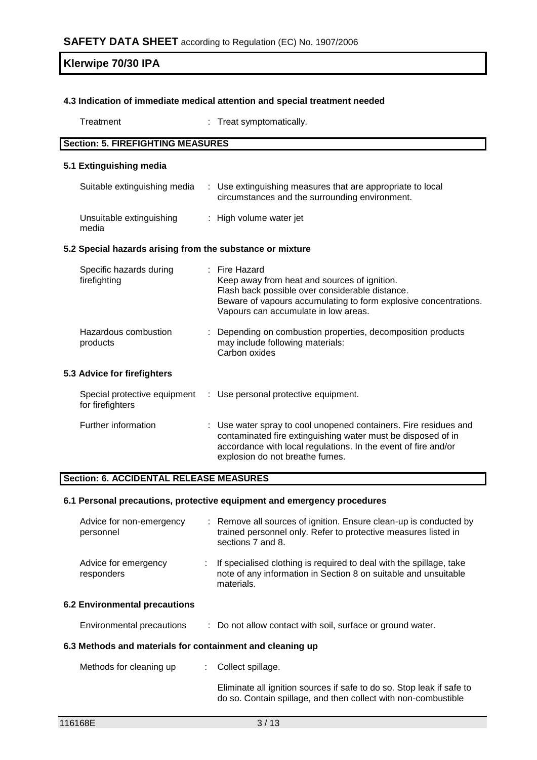### **4.3 Indication of immediate medical attention and special treatment needed**

Treatment : Treat symptomatically.

# **Section: 5. FIREFIGHTING MEASURES**

### **5.1 Extinguishing media**

| Suitable extinguishing media      | : Use extinguishing measures that are appropriate to local<br>circumstances and the surrounding environment. |
|-----------------------------------|--------------------------------------------------------------------------------------------------------------|
| Unsuitable extinguishing<br>media | : High volume water jet                                                                                      |

### **5.2 Special hazards arising from the substance or mixture**

| Specific hazards during<br>firefighting          | $\therefore$ Fire Hazard<br>Keep away from heat and sources of ignition.<br>Flash back possible over considerable distance.<br>Beware of vapours accumulating to form explosive concentrations.<br>Vapours can accumulate in low areas. |
|--------------------------------------------------|-----------------------------------------------------------------------------------------------------------------------------------------------------------------------------------------------------------------------------------------|
| Hazardous combustion<br>products                 | : Depending on combustion properties, decomposition products<br>may include following materials:<br>Carbon oxides                                                                                                                       |
| 5.3 Advice for firefighters                      |                                                                                                                                                                                                                                         |
| Special protective equipment<br>for firefighters | : Use personal protective equipment.                                                                                                                                                                                                    |

| Further information | : Use water spray to cool unopened containers. Fire residues and<br>contaminated fire extinguishing water must be disposed of in<br>accordance with local regulations. In the event of fire and/or<br>explosion do not breathe fumes. |
|---------------------|---------------------------------------------------------------------------------------------------------------------------------------------------------------------------------------------------------------------------------------|
|                     |                                                                                                                                                                                                                                       |

### **Section: 6. ACCIDENTAL RELEASE MEASURES**

### **6.1 Personal precautions, protective equipment and emergency procedures**

| Advice for non-emergency<br>personnel | : Remove all sources of ignition. Ensure clean-up is conducted by<br>trained personnel only. Refer to protective measures listed in<br>sections 7 and 8. |
|---------------------------------------|----------------------------------------------------------------------------------------------------------------------------------------------------------|
| Advice for emergency<br>responders    | If specialised clothing is required to deal with the spillage, take<br>note of any information in Section 8 on suitable and unsuitable<br>materials.     |
| <b>6.2 Environmental precautions</b>  |                                                                                                                                                          |

## Environmental precautions : Do not allow contact with soil, surface or ground water.

# **6.3 Methods and materials for containment and cleaning up**

| Methods for cleaning up | : Collect spillage.                                                                                                                     |
|-------------------------|-----------------------------------------------------------------------------------------------------------------------------------------|
|                         | Eliminate all ignition sources if safe to do so. Stop leak if safe to<br>do so. Contain spillage, and then collect with non-combustible |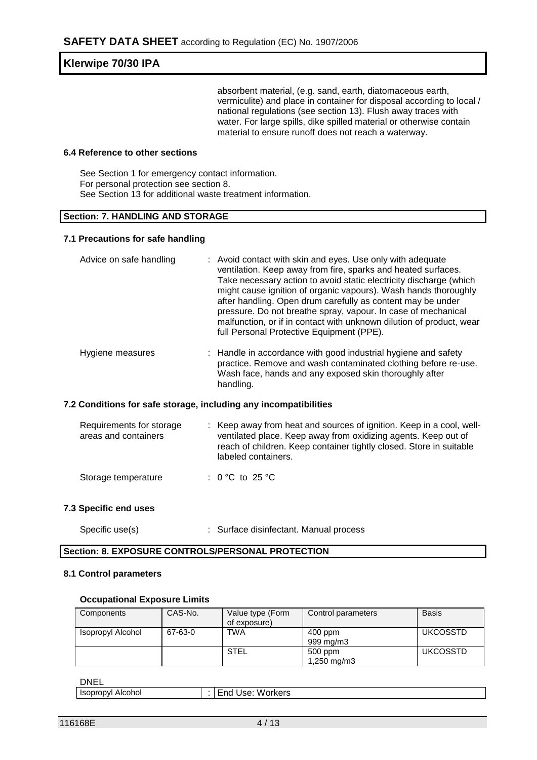absorbent material, (e.g. sand, earth, diatomaceous earth, vermiculite) and place in container for disposal according to local / national regulations (see section 13). Flush away traces with water. For large spills, dike spilled material or otherwise contain material to ensure runoff does not reach a waterway.

### **6.4 Reference to other sections**

See Section 1 for emergency contact information. For personal protection see section 8. See Section 13 for additional waste treatment information.

### **Section: 7. HANDLING AND STORAGE**

### **7.1 Precautions for safe handling**

| Advice on safe handling | : Avoid contact with skin and eyes. Use only with adequate<br>ventilation. Keep away from fire, sparks and heated surfaces.<br>Take necessary action to avoid static electricity discharge (which<br>might cause ignition of organic vapours). Wash hands thoroughly<br>after handling. Open drum carefully as content may be under<br>pressure. Do not breathe spray, vapour. In case of mechanical<br>malfunction, or if in contact with unknown dilution of product, wear<br>full Personal Protective Equipment (PPE). |
|-------------------------|---------------------------------------------------------------------------------------------------------------------------------------------------------------------------------------------------------------------------------------------------------------------------------------------------------------------------------------------------------------------------------------------------------------------------------------------------------------------------------------------------------------------------|
| Hygiene measures        | : Handle in accordance with good industrial hygiene and safety<br>practice. Remove and wash contaminated clothing before re-use.<br>Wash face, hands and any exposed skin thoroughly after<br>handling.                                                                                                                                                                                                                                                                                                                   |

### **7.2 Conditions for safe storage, including any incompatibilities**

| Requirements for storage<br>areas and containers | : Keep away from heat and sources of ignition. Keep in a cool, well-<br>ventilated place. Keep away from oxidizing agents. Keep out of<br>reach of children. Keep container tightly closed. Store in suitable<br>labeled containers. |
|--------------------------------------------------|--------------------------------------------------------------------------------------------------------------------------------------------------------------------------------------------------------------------------------------|
|                                                  |                                                                                                                                                                                                                                      |

Storage temperature : 0 °C to 25 °C

### **7.3 Specific end uses**

Specific use(s) : Surface disinfectant. Manual process

### **Section: 8. EXPOSURE CONTROLS/PERSONAL PROTECTION**

#### **8.1 Control parameters**

### **Occupational Exposure Limits**

| Components        | CAS-No. | Value type (Form<br>of exposure) | Control parameters     | <b>Basis</b>    |
|-------------------|---------|----------------------------------|------------------------|-----------------|
| Isopropyl Alcohol | 67-63-0 | TWA                              | $400$ ppm<br>999 mg/m3 | <b>UKCOSSTD</b> |
|                   |         | <b>STEL</b>                      | 500 ppm<br>1,250 mg/m3 | <b>UKCOSSTD</b> |

DNEL

| -----                              |                     |  |
|------------------------------------|---------------------|--|
| <i><b>Isopropyl</b></i><br>Alcohol | Workers<br>Jse<br>n |  |
|                                    |                     |  |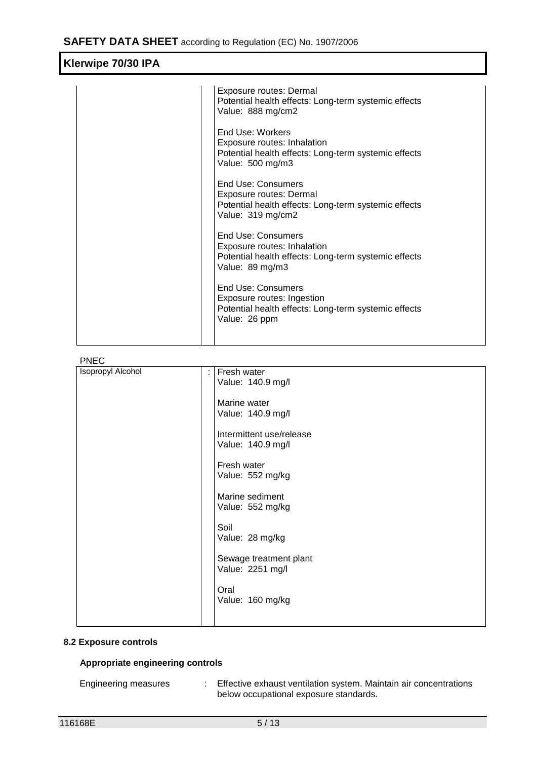| <b>Exposure routes: Dermal</b><br>Potential health effects: Long-term systemic effects<br>Value: 888 mg/cm2                              |
|------------------------------------------------------------------------------------------------------------------------------------------|
| End Use: Workers<br>Exposure routes: Inhalation<br>Potential health effects: Long-term systemic effects<br>Value: 500 mg/m3              |
| <b>End Use: Consumers</b><br><b>Exposure routes: Dermal</b><br>Potential health effects: Long-term systemic effects<br>Value: 319 mg/cm2 |
| End Use: Consumers<br>Exposure routes: Inhalation<br>Potential health effects: Long-term systemic effects<br>Value: 89 mg/m3             |
| <b>End Use: Consumers</b><br>Exposure routes: Ingestion<br>Potential health effects: Long-term systemic effects<br>Value: 26 ppm         |
|                                                                                                                                          |

# PNEC

| PNEU              |                          |
|-------------------|--------------------------|
| Isopropyl Alcohol | Fresh water<br>÷         |
|                   | Value: 140.9 mg/l        |
|                   | Marine water             |
|                   | Value: 140.9 mg/l        |
|                   |                          |
|                   | Intermittent use/release |
|                   | Value: 140.9 mg/l        |
|                   | Fresh water              |
|                   | Value: 552 mg/kg         |
|                   |                          |
|                   | Marine sediment          |
|                   | Value: 552 mg/kg         |
|                   |                          |
|                   | Soil                     |
|                   | Value: 28 mg/kg          |
|                   | Sewage treatment plant   |
|                   | Value: 2251 mg/l         |
|                   |                          |
|                   | Oral                     |
|                   | Value: 160 mg/kg         |
|                   |                          |
|                   |                          |

### **8.2 Exposure controls**

# **Appropriate engineering controls**

Engineering measures : Effective exhaust ventilation system. Maintain air concentrations below occupational exposure standards.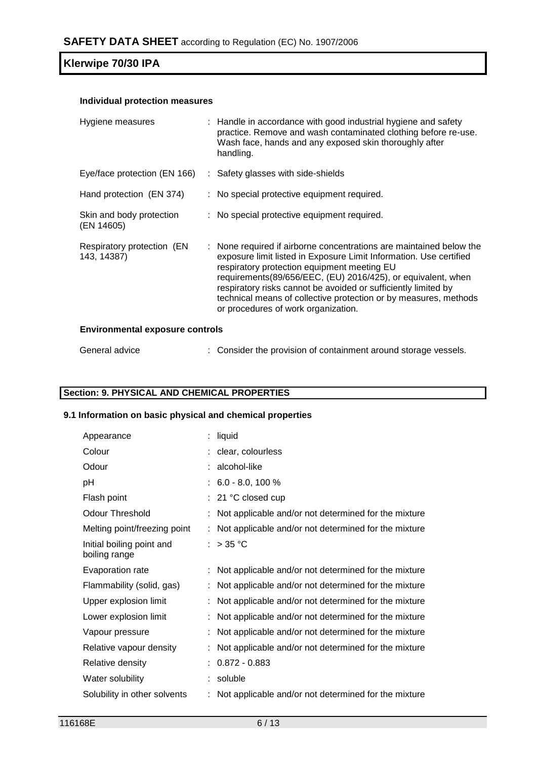### **Individual protection measures**

| Hygiene measures                           |  | : Handle in accordance with good industrial hygiene and safety<br>practice. Remove and wash contaminated clothing before re-use.<br>Wash face, hands and any exposed skin thoroughly after<br>handling.                                                                                                                                                                                                                               |  |
|--------------------------------------------|--|---------------------------------------------------------------------------------------------------------------------------------------------------------------------------------------------------------------------------------------------------------------------------------------------------------------------------------------------------------------------------------------------------------------------------------------|--|
| Eye/face protection (EN 166)               |  | : Safety glasses with side-shields                                                                                                                                                                                                                                                                                                                                                                                                    |  |
| Hand protection (EN 374)                   |  | : No special protective equipment required.                                                                                                                                                                                                                                                                                                                                                                                           |  |
| Skin and body protection<br>(EN 14605)     |  | : No special protective equipment required.                                                                                                                                                                                                                                                                                                                                                                                           |  |
| Respiratory protection (EN)<br>143, 14387) |  | : None required if airborne concentrations are maintained below the<br>exposure limit listed in Exposure Limit Information. Use certified<br>respiratory protection equipment meeting EU<br>requirements(89/656/EEC, (EU) 2016/425), or equivalent, when<br>respiratory risks cannot be avoided or sufficiently limited by<br>technical means of collective protection or by measures, methods<br>or procedures of work organization. |  |
| <b>Environmental exposure controls</b>     |  |                                                                                                                                                                                                                                                                                                                                                                                                                                       |  |

General advice : Consider the provision of containment around storage vessels.

# **Section: 9. PHYSICAL AND CHEMICAL PROPERTIES**

# **9.1 Information on basic physical and chemical properties**

| Appearance                                 |    | liquid                                               |
|--------------------------------------------|----|------------------------------------------------------|
| Colour                                     |    | clear, colourless                                    |
| Odour                                      |    | alcohol-like                                         |
| pH                                         |    | $: 6.0 - 8.0, 100 \%$                                |
| Flash point                                |    | : 21 °C closed cup                                   |
| <b>Odour Threshold</b>                     |    | Not applicable and/or not determined for the mixture |
| Melting point/freezing point               | ÷. | Not applicable and/or not determined for the mixture |
| Initial boiling point and<br>boiling range | t. | $>$ 35 °C                                            |
| Evaporation rate                           |    | Not applicable and/or not determined for the mixture |
| Flammability (solid, gas)                  |    | Not applicable and/or not determined for the mixture |
| Upper explosion limit                      |    | Not applicable and/or not determined for the mixture |
| Lower explosion limit                      |    | Not applicable and/or not determined for the mixture |
| Vapour pressure                            |    | Not applicable and/or not determined for the mixture |
| Relative vapour density                    |    | Not applicable and/or not determined for the mixture |
| Relative density                           |    | $0.872 - 0.883$                                      |
| Water solubility                           | t. | soluble                                              |
|                                            |    |                                                      |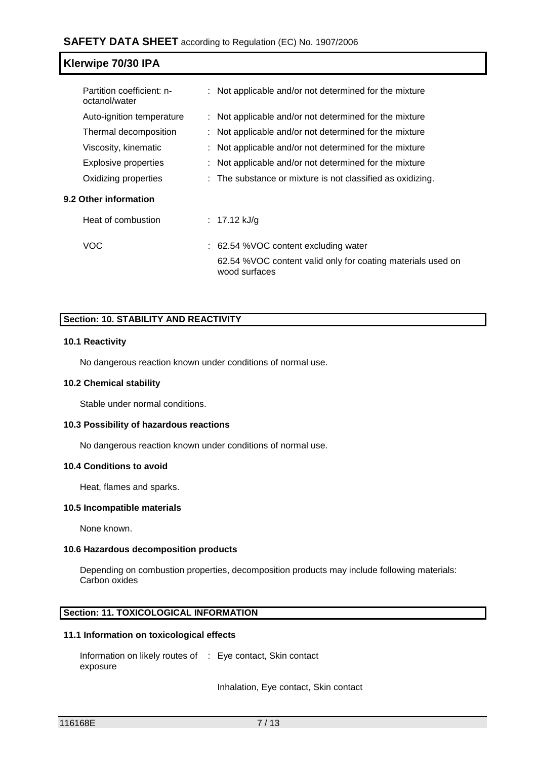# **SAFETY DATA SHEET** according to Regulation (EC) No. 1907/2006

# **Klerwipe 70/30 IPA**

| Partition coefficient: n-<br>octanol/water | : Not applicable and/or not determined for the mixture                        |
|--------------------------------------------|-------------------------------------------------------------------------------|
| Auto-ignition temperature                  | : Not applicable and/or not determined for the mixture                        |
| Thermal decomposition                      | : Not applicable and/or not determined for the mixture                        |
| Viscosity, kinematic                       | : Not applicable and/or not determined for the mixture                        |
| Explosive properties                       | : Not applicable and/or not determined for the mixture                        |
| Oxidizing properties                       | : The substance or mixture is not classified as oxidizing.                    |
| 9.2 Other information                      |                                                                               |
| Heat of combustion                         | : 17.12 kJ/g                                                                  |
| VOC                                        | : 62.54 % VOC content excluding water                                         |
|                                            | 62.54 % VOC content valid only for coating materials used on<br>wood surfaces |

# **Section: 10. STABILITY AND REACTIVITY**

#### **10.1 Reactivity**

No dangerous reaction known under conditions of normal use.

### **10.2 Chemical stability**

Stable under normal conditions.

### **10.3 Possibility of hazardous reactions**

No dangerous reaction known under conditions of normal use.

### **10.4 Conditions to avoid**

Heat, flames and sparks.

### **10.5 Incompatible materials**

None known.

### **10.6 Hazardous decomposition products**

Depending on combustion properties, decomposition products may include following materials: Carbon oxides

### **Section: 11. TOXICOLOGICAL INFORMATION**

#### **11.1 Information on toxicological effects**

Information on likely routes of : Eye contact, Skin contact exposure

Inhalation, Eye contact, Skin contact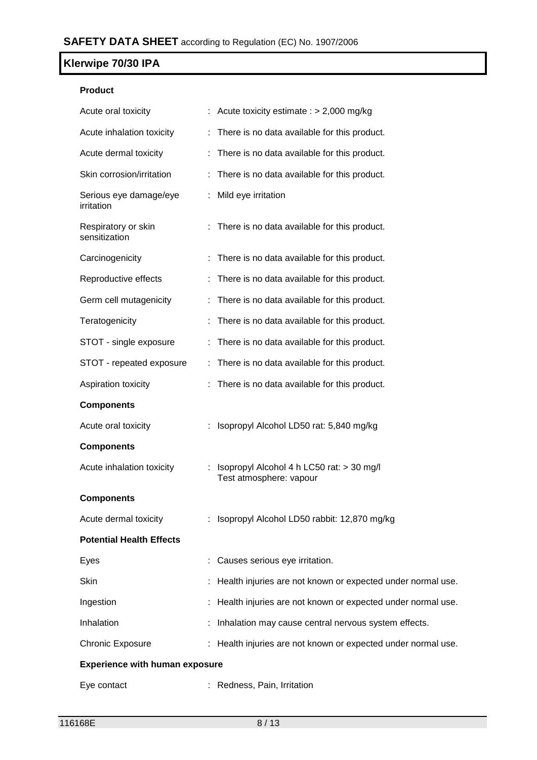# **Product**

| Acute oral toxicity                   |    | : Acute toxicity estimate : $> 2,000$ mg/kg                          |
|---------------------------------------|----|----------------------------------------------------------------------|
| Acute inhalation toxicity             | t. | There is no data available for this product.                         |
| Acute dermal toxicity                 |    | : There is no data available for this product.                       |
| Skin corrosion/irritation             |    | There is no data available for this product.                         |
| Serious eye damage/eye<br>irritation  |    | Mild eye irritation                                                  |
| Respiratory or skin<br>sensitization  |    | There is no data available for this product.                         |
| Carcinogenicity                       |    | : There is no data available for this product.                       |
| Reproductive effects                  |    | There is no data available for this product.                         |
| Germ cell mutagenicity                |    | There is no data available for this product.                         |
| Teratogenicity                        |    | There is no data available for this product.                         |
| STOT - single exposure                |    | : There is no data available for this product.                       |
| STOT - repeated exposure              |    | There is no data available for this product.                         |
| Aspiration toxicity                   |    | There is no data available for this product.                         |
| <b>Components</b>                     |    |                                                                      |
| Acute oral toxicity                   |    | Isopropyl Alcohol LD50 rat: 5,840 mg/kg                              |
| <b>Components</b>                     |    |                                                                      |
| Acute inhalation toxicity             |    | Isopropyl Alcohol 4 h LC50 rat: > 30 mg/l<br>Test atmosphere: vapour |
| <b>Components</b>                     |    |                                                                      |
| Acute dermal toxicity                 |    | : Isopropyl Alcohol LD50 rabbit: 12,870 mg/kg                        |
| <b>Potential Health Effects</b>       |    |                                                                      |
| Eyes                                  |    | Causes serious eye irritation.                                       |
| Skin                                  |    | Health injuries are not known or expected under normal use.          |
| Ingestion                             |    | Health injuries are not known or expected under normal use.          |
| Inhalation                            |    | Inhalation may cause central nervous system effects.                 |
| <b>Chronic Exposure</b>               |    | : Health injuries are not known or expected under normal use.        |
| <b>Experience with human exposure</b> |    |                                                                      |
| Eye contact                           |    | Redness, Pain, Irritation                                            |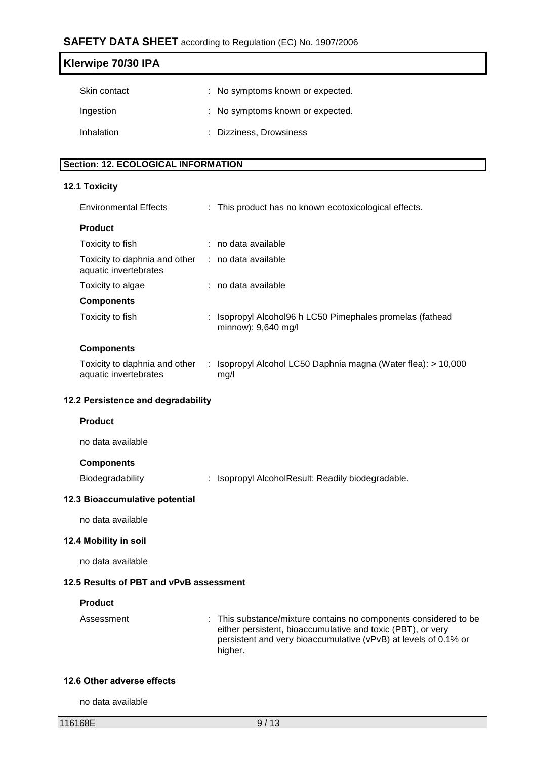# **SAFETY DATA SHEET** according to Regulation (EC) No. 1907/2006

| Klerwipe 70/30 IPA                         |                                                       |
|--------------------------------------------|-------------------------------------------------------|
| Skin contact                               | : No symptoms known or expected.                      |
| Ingestion                                  | : No symptoms known or expected.                      |
| Inhalation                                 | : Dizziness, Drowsiness                               |
| <b>Section: 12. ECOLOGICAL INFORMATION</b> |                                                       |
| <b>12.1 Toxicity</b>                       |                                                       |
| <b>Environmental Effects</b>               | : This product has no known ecotoxicological effects. |
| <b>Product</b>                             |                                                       |
| Toxicity to fish                           | : no data available                                   |

| Toxicity to daphnia and other : no data available<br>aquatic invertebrates |                                                                                |
|----------------------------------------------------------------------------|--------------------------------------------------------------------------------|
| Toxicity to algae                                                          | : no data available                                                            |
| <b>Components</b>                                                          |                                                                                |
| Toxicity to fish                                                           | Isopropyl Alcohol96 h LC50 Pimephales promelas (fathead<br>minnow): 9,640 mg/l |
| <b>Components</b>                                                          |                                                                                |
|                                                                            |                                                                                |

# Toxicity to

| Toxicity to daphnia and other | : Isopropyl Alcohol LC50 Daphnia magna (Water flea): > 10,000 |
|-------------------------------|---------------------------------------------------------------|
| aquatic invertebrates         | mg/l                                                          |

# **12.2 Persistence and degradability**

| <b>Product</b>                          |                                                                                                                                                                                                               |
|-----------------------------------------|---------------------------------------------------------------------------------------------------------------------------------------------------------------------------------------------------------------|
| no data available                       |                                                                                                                                                                                                               |
| <b>Components</b><br>Biodegradability   | : Isopropyl AlcoholResult: Readily biodegradable.                                                                                                                                                             |
| 12.3 Bioaccumulative potential          |                                                                                                                                                                                                               |
| no data available                       |                                                                                                                                                                                                               |
| 12.4 Mobility in soil                   |                                                                                                                                                                                                               |
| no data available                       |                                                                                                                                                                                                               |
| 12.5 Results of PBT and vPvB assessment |                                                                                                                                                                                                               |
| <b>Product</b>                          |                                                                                                                                                                                                               |
| Assessment                              | : This substance/mixture contains no components considered to be<br>either persistent, bioaccumulative and toxic (PBT), or very<br>persistent and very bioaccumulative (vPvB) at levels of 0.1% or<br>higher. |
| 12.6 Other adverse effects              |                                                                                                                                                                                                               |

no data available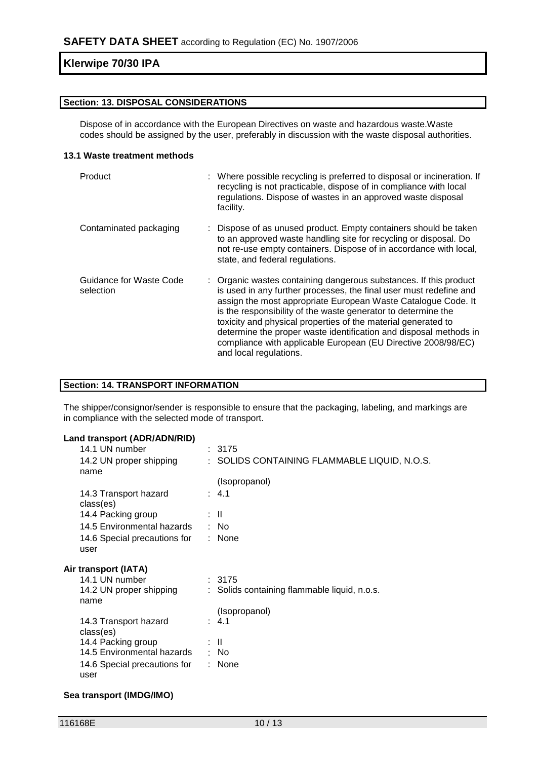### **Section: 13. DISPOSAL CONSIDERATIONS**

Dispose of in accordance with the European Directives on waste and hazardous waste.Waste codes should be assigned by the user, preferably in discussion with the waste disposal authorities.

### **13.1 Waste treatment methods**

| Product                                     | : Where possible recycling is preferred to disposal or incineration. If<br>recycling is not practicable, dispose of in compliance with local<br>regulations. Dispose of wastes in an approved waste disposal<br>facility.                                                                                                                                                                                                                                                                                  |
|---------------------------------------------|------------------------------------------------------------------------------------------------------------------------------------------------------------------------------------------------------------------------------------------------------------------------------------------------------------------------------------------------------------------------------------------------------------------------------------------------------------------------------------------------------------|
| Contaminated packaging                      | Dispose of as unused product. Empty containers should be taken<br>to an approved waste handling site for recycling or disposal. Do<br>not re-use empty containers. Dispose of in accordance with local,<br>state, and federal regulations.                                                                                                                                                                                                                                                                 |
| <b>Guidance for Waste Code</b><br>selection | : Organic wastes containing dangerous substances. If this product<br>is used in any further processes, the final user must redefine and<br>assign the most appropriate European Waste Catalogue Code. It<br>is the responsibility of the waste generator to determine the<br>toxicity and physical properties of the material generated to<br>determine the proper waste identification and disposal methods in<br>compliance with applicable European (EU Directive 2008/98/EC)<br>and local regulations. |

### **Section: 14. TRANSPORT INFORMATION**

The shipper/consignor/sender is responsible to ensure that the packaging, labeling, and markings are in compliance with the selected mode of transport.

### **Land transport (ADR/ADN/RID)**

| 14.1 UN number                       | : 3175                                       |
|--------------------------------------|----------------------------------------------|
| 14.2 UN proper shipping<br>name      | : SOLIDS CONTAINING FLAMMABLE LIQUID, N.O.S. |
|                                      | (Isopropanol)                                |
| 14.3 Transport hazard<br>class(es)   | : 4.1                                        |
| 14.4 Packing group                   | ÷Ш                                           |
| 14.5 Environmental hazards           | : No                                         |
| 14.6 Special precautions for<br>user | : None                                       |
| Air transport (IATA)                 |                                              |
| 14.1 UN number                       | : 3175                                       |
| 14.2 UN proper shipping<br>name      | : Solids containing flammable liquid, n.o.s. |
|                                      | (Isopropanol)                                |
| 14.3 Transport hazard<br>class(es)   | : 4.1                                        |
| 14.4 Packing group                   | : II                                         |
| 14.5 Environmental hazards           | $\therefore$ No                              |
| 14.6 Special precautions for<br>user | $:$ None                                     |

### **Sea transport (IMDG/IMO)**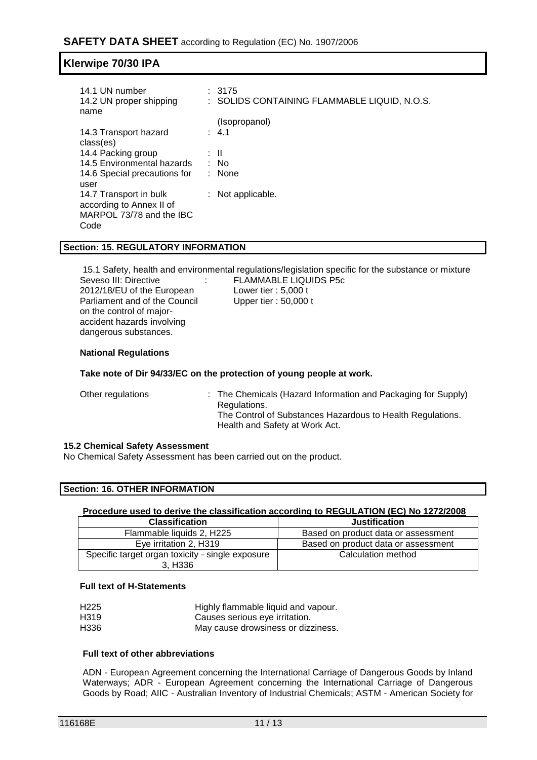| 14.1 UN number<br>14.2 UN proper shipping<br>name | : 3175<br>: SOLIDS CONTAINING FLAMMABLE LIQUID, N.O.S. |
|---------------------------------------------------|--------------------------------------------------------|
|                                                   | (Isopropanol)                                          |
| 14.3 Transport hazard                             | $\therefore$ 4.1                                       |
| class(es)                                         |                                                        |
| 14.4 Packing group                                | : II                                                   |
| 14.5 Environmental hazards                        | : No                                                   |
| 14.6 Special precautions for                      | $:$ None                                               |
| user                                              |                                                        |
| 14.7 Transport in bulk                            | : Not applicable.                                      |
| according to Annex II of                          |                                                        |
| MARPOL 73/78 and the IBC                          |                                                        |
| Code                                              |                                                        |

### **Section: 15. REGULATORY INFORMATION**

15.1 Safety, health and environmental regulations/legislation specific for the substance or mixture Seveso III: Directive 2012/18/EU of the European : FLAMMABLE LIQUIDS P5c Lower tier : 5,000 t

Parliament and of the Council on the control of majoraccident hazards involving dangerous substances.

Upper tier : 50,000 t

### **National Regulations**

### **Take note of Dir 94/33/EC on the protection of young people at work.**

Other regulations : The Chemicals (Hazard Information and Packaging for Supply) Regulations. The Control of Substances Hazardous to Health Regulations. Health and Safety at Work Act.

### **15.2 Chemical Safety Assessment**

No Chemical Safety Assessment has been carried out on the product.

### **Section: 16. OTHER INFORMATION**

# **Procedure used to derive the classification according to REGULATION (EC) No 1272/2008**

| <b>Classification</b>                            | <b>Justification</b>                |
|--------------------------------------------------|-------------------------------------|
| Flammable liquids 2. H225                        | Based on product data or assessment |
| Eye irritation 2, H319                           | Based on product data or assessment |
| Specific target organ toxicity - single exposure | Calculation method                  |
| 3. H <sub>336</sub>                              |                                     |

### **Full text of H-Statements**

| H <sub>225</sub> | Highly flammable liquid and vapour. |
|------------------|-------------------------------------|
| H319             | Causes serious eve irritation.      |
| H336             | May cause drowsiness or dizziness.  |

### **Full text of other abbreviations**

ADN - European Agreement concerning the International Carriage of Dangerous Goods by Inland Waterways; ADR - European Agreement concerning the International Carriage of Dangerous Goods by Road; AIIC - Australian Inventory of Industrial Chemicals; ASTM - American Society for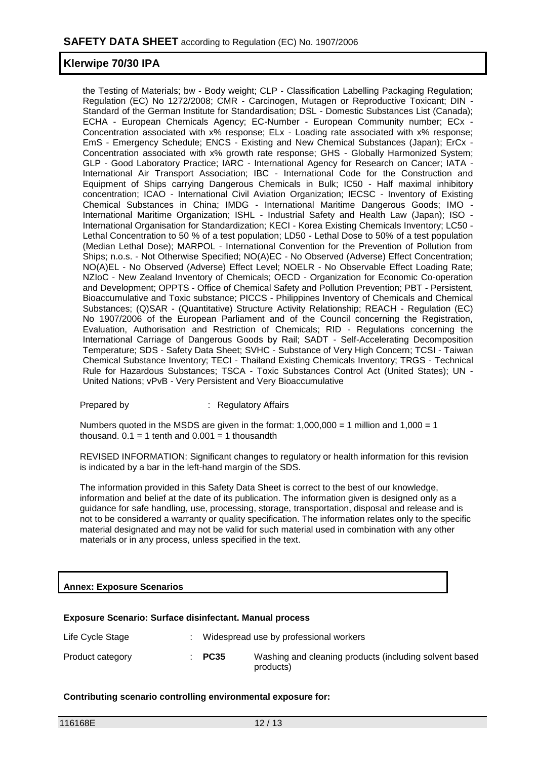the Testing of Materials; bw - Body weight; CLP - Classification Labelling Packaging Regulation; Regulation (EC) No 1272/2008; CMR - Carcinogen, Mutagen or Reproductive Toxicant; DIN - Standard of the German Institute for Standardisation; DSL - Domestic Substances List (Canada); ECHA - European Chemicals Agency; EC-Number - European Community number; ECx - Concentration associated with x% response; ELx - Loading rate associated with x% response; EmS - Emergency Schedule; ENCS - Existing and New Chemical Substances (Japan); ErCx - Concentration associated with x% growth rate response; GHS - Globally Harmonized System; GLP - Good Laboratory Practice; IARC - International Agency for Research on Cancer; IATA - International Air Transport Association; IBC - International Code for the Construction and Equipment of Ships carrying Dangerous Chemicals in Bulk; IC50 - Half maximal inhibitory concentration; ICAO - International Civil Aviation Organization; IECSC - Inventory of Existing Chemical Substances in China; IMDG - International Maritime Dangerous Goods; IMO - International Maritime Organization; ISHL - Industrial Safety and Health Law (Japan); ISO - International Organisation for Standardization; KECI - Korea Existing Chemicals Inventory; LC50 - Lethal Concentration to 50 % of a test population; LD50 - Lethal Dose to 50% of a test population (Median Lethal Dose); MARPOL - International Convention for the Prevention of Pollution from Ships; n.o.s. - Not Otherwise Specified; NO(A)EC - No Observed (Adverse) Effect Concentration; NO(A)EL - No Observed (Adverse) Effect Level; NOELR - No Observable Effect Loading Rate; NZIoC - New Zealand Inventory of Chemicals; OECD - Organization for Economic Co-operation and Development; OPPTS - Office of Chemical Safety and Pollution Prevention; PBT - Persistent, Bioaccumulative and Toxic substance; PICCS - Philippines Inventory of Chemicals and Chemical Substances; (Q)SAR - (Quantitative) Structure Activity Relationship; REACH - Regulation (EC) No 1907/2006 of the European Parliament and of the Council concerning the Registration, Evaluation, Authorisation and Restriction of Chemicals; RID - Regulations concerning the International Carriage of Dangerous Goods by Rail; SADT - Self-Accelerating Decomposition Temperature; SDS - Safety Data Sheet; SVHC - Substance of Very High Concern; TCSI - Taiwan Chemical Substance Inventory; TECI - Thailand Existing Chemicals Inventory; TRGS - Technical Rule for Hazardous Substances; TSCA - Toxic Substances Control Act (United States); UN - United Nations; vPvB - Very Persistent and Very Bioaccumulative

Prepared by : Regulatory Affairs

Numbers quoted in the MSDS are given in the format:  $1,000,000 = 1$  million and  $1,000 = 1$ thousand.  $0.1 = 1$  tenth and  $0.001 = 1$  thousandth

REVISED INFORMATION: Significant changes to regulatory or health information for this revision is indicated by a bar in the left-hand margin of the SDS.

The information provided in this Safety Data Sheet is correct to the best of our knowledge, information and belief at the date of its publication. The information given is designed only as a guidance for safe handling, use, processing, storage, transportation, disposal and release and is not to be considered a warranty or quality specification. The information relates only to the specific material designated and may not be valid for such material used in combination with any other materials or in any process, unless specified in the text.

### **Annex: Exposure Scenarios**

### **Exposure Scenario: Surface disinfectant. Manual process**

| Life Cycle Stage |                   | Widespread use by professional workers                              |
|------------------|-------------------|---------------------------------------------------------------------|
| Product category | $\therefore$ PC35 | Washing and cleaning products (including solvent based<br>products) |

### **Contributing scenario controlling environmental exposure for:**